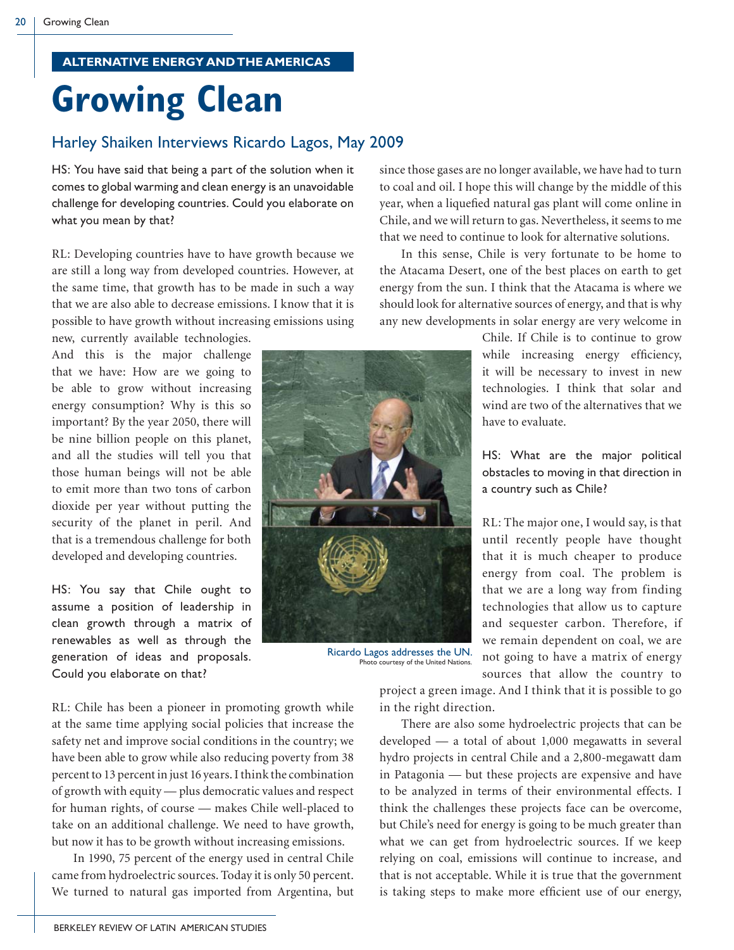## **ALTERNATIVE ENERGY AND THE AMERICAS**

## **Growing Clean**

## Harley Shaiken Interviews Ricardo Lagos, May 2009

HS: You have said that being a part of the solution when it comes to global warming and clean energy is an unavoidable challenge for developing countries. Could you elaborate on what you mean by that?

RL: Developing countries have to have growth because we are still a long way from developed countries. However, at the same time, that growth has to be made in such a way that we are also able to decrease emissions. I know that it is possible to have growth without increasing emissions using

new, currently available technologies. And this is the major challenge that we have: How are we going to be able to grow without increasing energy consumption? Why is this so important? By the year 2050, there will be nine billion people on this planet, and all the studies will tell you that those human beings will not be able to emit more than two tons of carbon dioxide per year without putting the security of the planet in peril. And that is a tremendous challenge for both developed and developing countries.

HS: You say that Chile ought to assume a position of leadership in clean growth through a matrix of renewables as well as through the generation of ideas and proposals. Could you elaborate on that?

since those gases are no longer available, we have had to turn to coal and oil. I hope this will change by the middle of this year, when a liquefied natural gas plant will come online in Chile, and we will return to gas. Nevertheless, it seems to me that we need to continue to look for alternative solutions.

 In this sense, Chile is very fortunate to be home to the Atacama Desert, one of the best places on earth to get energy from the sun. I think that the Atacama is where we should look for alternative sources of energy, and that is why any new developments in solar energy are very welcome in

> Chile. If Chile is to continue to grow while increasing energy efficiency, it will be necessary to invest in new technologies. I think that solar and wind are two of the alternatives that we have to evaluate.

> HS: What are the major political obstacles to moving in that direction in a country such as Chile?

> RL: The major one, I would say, is that until recently people have thought that it is much cheaper to produce energy from coal. The problem is that we are a long way from finding technologies that allow us to capture and sequester carbon. Therefore, if we remain dependent on coal, we are not going to have a matrix of energy sources that allow the country to

RL: Chile has been a pioneer in promoting growth while at the same time applying social policies that increase the safety net and improve social conditions in the country; we have been able to grow while also reducing poverty from 38 percent to 13 percent in just 16 years. I think the combination of growth with equity — plus democratic values and respect for human rights, of course — makes Chile well-placed to take on an additional challenge. We need to have growth, but now it has to be growth without increasing emissions.

 In 1990, 75 percent of the energy used in central Chile came from hydroelectric sources. Today it is only 50 percent. We turned to natural gas imported from Argentina, but



 There are also some hydroelectric projects that can be developed — a total of about 1,000 megawatts in several hydro projects in central Chile and a 2,800-megawatt dam in Patagonia — but these projects are expensive and have to be analyzed in terms of their environmental effects. I think the challenges these projects face can be overcome, but Chile's need for energy is going to be much greater than what we can get from hydroelectric sources. If we keep relying on coal, emissions will continue to increase, and that is not acceptable. While it is true that the government is taking steps to make more efficient use of our energy,



Ricardo Lagos addresses the UN. Photo courtesy of the United Nations.